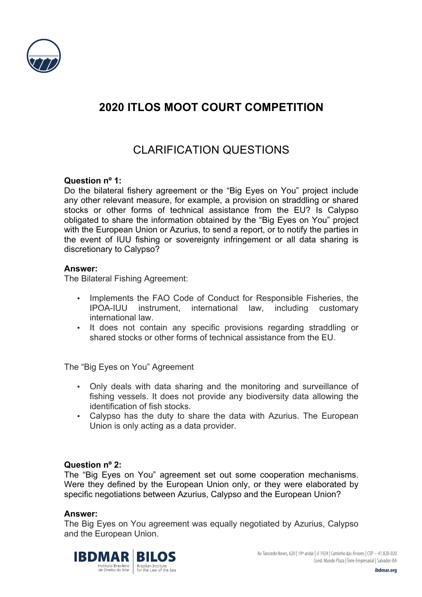

## **2020 ITLOS MOOT COURT COMPETITION**

# CLARIFICATION QUESTIONS

## **Question nº 1:**

Do the bilateral fishery agreement or the "Big Eyes on You" project include any other relevant measure, for example, a provision on straddling or shared stocks or other forms of technical assistance from the EU? Is Calypso obligated to share the information obtained by the "Big Eyes on You" project with the European Union or Azurius, to send a report, or to notify the parties in the event of IUU fishing or sovereignty infringement or all data sharing is discretionary to Calypso?

## **Answer:**

The Bilateral Fishing Agreement:

- Implements the FAO Code of Conduct for Responsible Fisheries, the IPOA-IUU instrument, international law, including customary international law.
- It does not contain any specific provisions regarding straddling or shared stocks or other forms of technical assistance from the EU.

The "Big Eyes on You" Agreement

- Only deals with data sharing and the monitoring and surveillance of fishing vessels. It does not provide any biodiversity data allowing the identification of fish stocks.
- Calypso has the duty to share the data with Azurius. The European Union is only acting as a data provider.

## **Question nº 2:**

The "Big Eyes on You" agreement set out some cooperation mechanisms. Were they defined by the European Union only, or they were elaborated by specific negotiations between Azurius, Calypso and the European Union?

## **Answer:**

The Big Eyes on You agreement was equally negotiated by Azurius, Calypso and the European Union.



Av. Tancredo Neves, 620 | 19º andar | sl 1924 | Caminho das Árvores | CEP – 41.820-020 Cond. Mundo Plaza | Torre Empresarial | Salvador-BA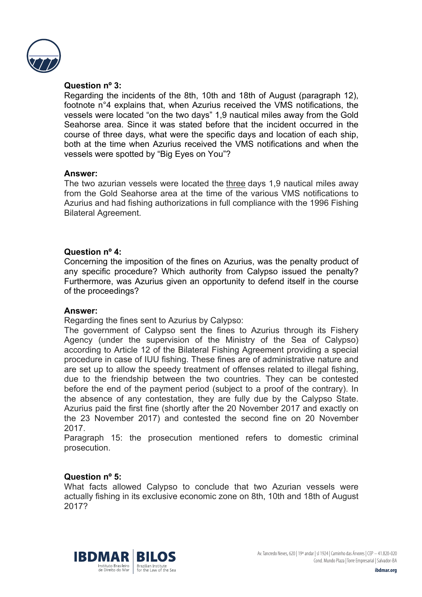

## **Question nº 3:**

Regarding the incidents of the 8th, 10th and 18th of August (paragraph 12), footnote n°4 explains that, when Azurius received the VMS notifications, the vessels were located "on the two days" 1,9 nautical miles away from the Gold Seahorse area. Since it was stated before that the incident occurred in the course of three days, what were the specific days and location of each ship, both at the time when Azurius received the VMS notifications and when the vessels were spotted by "Big Eyes on You"?

## **Answer:**

The two azurian vessels were located the three days 1,9 nautical miles away from the Gold Seahorse area at the time of the various VMS notifications to Azurius and had fishing authorizations in full compliance with the 1996 Fishing Bilateral Agreement.

## **Question nº 4:**

Concerning the imposition of the fines on Azurius, was the penalty product of any specific procedure? Which authority from Calypso issued the penalty? Furthermore, was Azurius given an opportunity to defend itself in the course of the proceedings?

## **Answer:**

Regarding the fines sent to Azurius by Calypso:

The government of Calypso sent the fines to Azurius through its Fishery Agency (under the supervision of the Ministry of the Sea of Calypso) according to Article 12 of the Bilateral Fishing Agreement providing a special procedure in case of IUU fishing. These fines are of administrative nature and are set up to allow the speedy treatment of offenses related to illegal fishing, due to the friendship between the two countries. They can be contested before the end of the payment period (subject to a proof of the contrary). In the absence of any contestation, they are fully due by the Calypso State. Azurius paid the first fine (shortly after the 20 November 2017 and exactly on the 23 November 2017) and contested the second fine on 20 November 2017.

Paragraph 15: the prosecution mentioned refers to domestic criminal prosecution.

## **Question nº 5:**

What facts allowed Calypso to conclude that two Azurian vessels were actually fishing in its exclusive economic zone on 8th, 10th and 18th of August 2017?



Av. Tancredo Neves, 620 | 19º andar | sl 1924 | Caminho das Árvores | CEP – 41.820-020 Cond. Mundo Plaza | Torre Empresarial | Salvador-BA